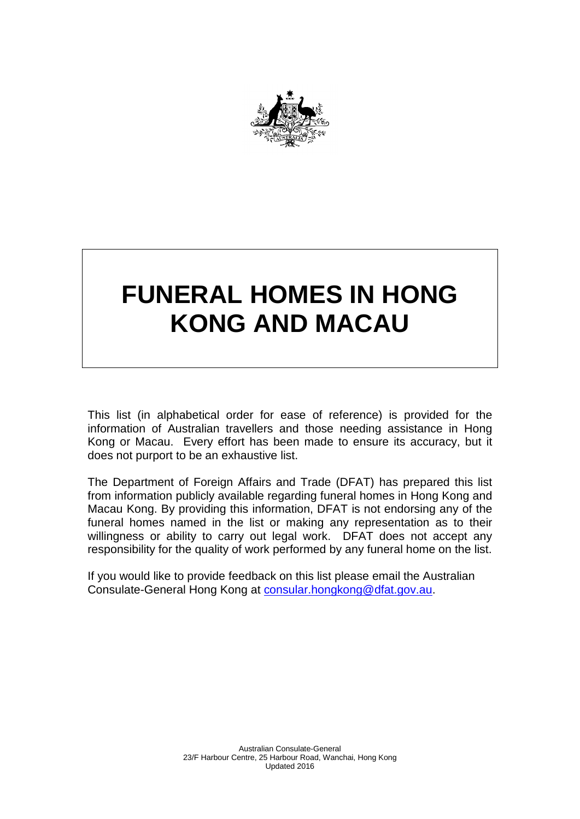

## **FUNERAL HOMES IN HONG KONG AND MACAU**

This list (in alphabetical order for ease of reference) is provided for the information of Australian travellers and those needing assistance in Hong Kong or Macau. Every effort has been made to ensure its accuracy, but it does not purport to be an exhaustive list.

The Department of Foreign Affairs and Trade (DFAT) has prepared this list from information publicly available regarding funeral homes in Hong Kong and Macau Kong. By providing this information, DFAT is not endorsing any of the funeral homes named in the list or making any representation as to their willingness or ability to carry out legal work. DFAT does not accept any responsibility for the quality of work performed by any funeral home on the list.

If you would like to provide feedback on this list please email the Australian Consulate-General Hong Kong at [consular.hongkong@dfat.gov.au.](mailto:consular.hongkong@dfat.gov.au)